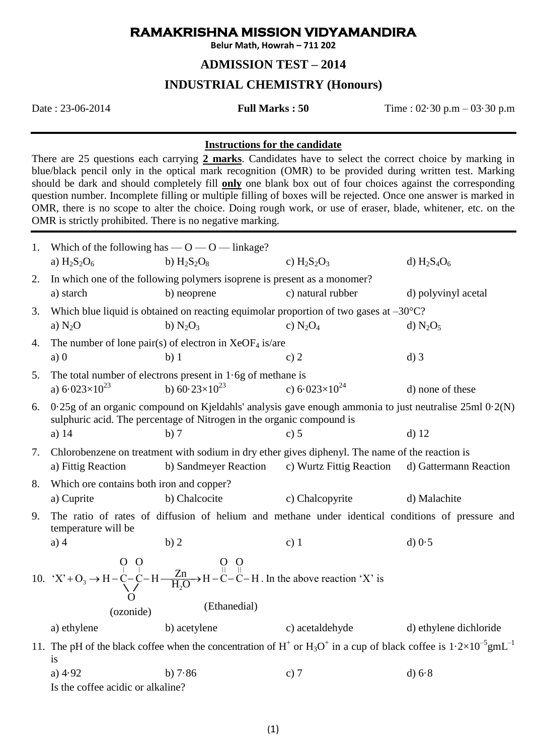## **RAMAKRISHNA MISSION VIDYAMANDIRA**

**Belur Math, Howrah – 711 202**

## **ADMISSION TEST – 2014**

# **INDUSTRIAL CHEMISTRY (Honours)**

Date : 23-06-2014 **Full Marks : 50** Time : 02·30 p.m – 03·30 p.m

### **Instructions for the candidate**

There are 25 questions each carrying **2 marks**. Candidates have to select the correct choice by marking in blue/black pencil only in the optical mark recognition (OMR) to be provided during written test. Marking should be dark and should completely fill **only** one blank box out of four choices against the corresponding question number. Incomplete filling or multiple filling of boxes will be rejected. Once one answer is marked in OMR, there is no scope to alter the choice. Doing rough work, or use of eraser, blade, whitener, etc. on the OMR is strictly prohibited. There is no negative marking.

|    | 1. Which of the following has $-0-0$ - linkage?                                                                                                                                         |                                                                                                                          |                          |                        |
|----|-----------------------------------------------------------------------------------------------------------------------------------------------------------------------------------------|--------------------------------------------------------------------------------------------------------------------------|--------------------------|------------------------|
|    | a) $H_2S_2O_6$                                                                                                                                                                          | b) $H_2S_2O_8$                                                                                                           | c) $H_2S_2O_3$           | d) $H_2S_4O_6$         |
| 2. | In which one of the following polymers isoprene is present as a monomer?                                                                                                                |                                                                                                                          |                          |                        |
|    | a) starch                                                                                                                                                                               | b) neoprene                                                                                                              | c) natural rubber        | d) polyvinyl acetal    |
| 3. | Which blue liquid is obtained on reacting equimolar proportion of two gases at $-30^{\circ}$ C?                                                                                         |                                                                                                                          |                          |                        |
|    | a) $N_2O$                                                                                                                                                                               | b) $N_2O_3$                                                                                                              | c) $N_2O_4$              | d) $N_2O_5$            |
| 4. | The number of lone pair(s) of electron in $XeOF4$ is/are                                                                                                                                |                                                                                                                          |                          |                        |
|    | a)0                                                                                                                                                                                     | b)1                                                                                                                      | c) $2$                   | $d)$ 3                 |
| 5. | The total number of electrons present in $1.6g$ of methane is                                                                                                                           |                                                                                                                          |                          |                        |
|    | a) $6.023 \times 10^{23}$                                                                                                                                                               | b) $60.23 \times 10^{23}$                                                                                                | c) $6.023\times10^{24}$  | d) none of these       |
| 6. | $0.25$ g of an organic compound on Kjeldahls' analysis gave enough ammonia to just neutralise $25$ ml $0.2(N)$<br>sulphuric acid. The percentage of Nitrogen in the organic compound is |                                                                                                                          |                          |                        |
|    | a) $14$                                                                                                                                                                                 | b)7                                                                                                                      | c) 5                     | $d)$ 12                |
| 7. | a) Fittig Reaction                                                                                                                                                                      | Chlorobenzene on treatment with sodium in dry ether gives diphenyl. The name of the reaction is<br>b) Sandmeyer Reaction | c) Wurtz Fittig Reaction | d) Gattermann Reaction |
| 8. | Which ore contains both iron and copper?                                                                                                                                                |                                                                                                                          |                          |                        |
|    | a) Cuprite                                                                                                                                                                              | b) Chalcocite                                                                                                            | c) Chalcopyrite          | d) Malachite           |
| 9. | The ratio of rates of diffusion of helium and methane under identical conditions of pressure and<br>temperature will be                                                                 |                                                                                                                          |                          |                        |
|    | $a)$ 4                                                                                                                                                                                  | b)2                                                                                                                      | $c)$ 1                   | $d$ ) $0.5$            |
|    | 10. $X^2 + O_3 \rightarrow H - C - C - H - \frac{Zn}{H_2O} \rightarrow H - C - C - H$ . In the above reaction 'X' is<br>(Ethanedial)<br>(ozonide)                                       |                                                                                                                          |                          |                        |
|    | a) ethylene                                                                                                                                                                             | b) acetylene                                                                                                             | c) acetaldehyde          | d) ethylene dichloride |
|    | 11. The pH of the black coffee when the concentration of $H^+$ or $H_3O^+$ in a cup of black coffee is $1.2 \times 10^{-5}$ gmL <sup>-1</sup><br>is                                     |                                                                                                                          |                          |                        |
|    | a) $4.92$                                                                                                                                                                               | b) $7.86$                                                                                                                | c) $7$                   | $d$ ) $6.8$            |
|    | Is the coffee acidic or alkaline?                                                                                                                                                       |                                                                                                                          |                          |                        |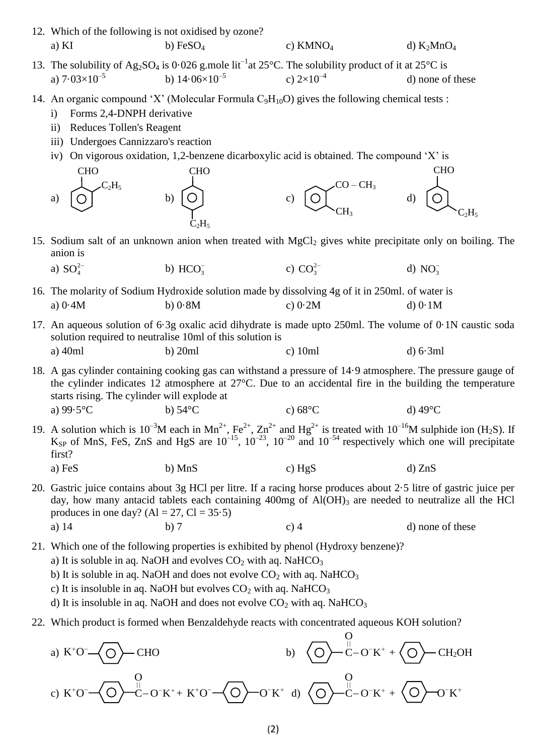- 12. Which of the following is not oxidised by ozone? a) KI b)  $FeSO_4$  c) KMNO<sub>4</sub> d) K<sub>2</sub>MnO<sub>4</sub>
- 13. The solubility of Ag<sub>2</sub>SO<sub>4</sub> is 0.026 g.mole lit<sup>-1</sup> at 25°C. The solubility product of it at 25°C is a)  $7.03\times10^{-5}$ b)  $14.06\times10^{-5}$ c)  $2\times10^{-4}$ d) none of these
- 14. An organic compound 'X' (Molecular Formula  $C_9H_{10}O$ ) gives the following chemical tests :
	- i) Forms 2,4-DNPH derivative
	- ii) Reduces Tollen's Reagent
	- iii) Undergoes Cannizzaro's reaction
	- iv) On vigorous oxidation, 1,2-benzene dicarboxylic acid is obtained. The compound 'X' is
	- a)  $\begin{bmatrix} 0 \end{bmatrix}$  b)  $\begin{bmatrix} 0 \end{bmatrix}$  c)  $\begin{bmatrix} 0 \end{bmatrix}$  d) **CHO**  $C_2H_5$  $C_2H_5$ CHO  $CH<sub>3</sub>$  $CO - CH<sub>3</sub>$ **CHO**  $C_2H_5$
- 15. Sodium salt of an unknown anion when treated with  $MgCl<sub>2</sub>$  gives white precipitate only on boiling. The anion is
	- a)  $SO_4^{2-}$ b)  $HCO<sub>3</sub>$ c)  $CO_3^{2-}$ d)  $NO_3^-$
- 16. The molarity of Sodium Hydroxide solution made by dissolving 4g of it in 250ml. of water is a) 0·4M b) 0·8M c) 0·2M d) 0·1M
- 17. An aqueous solution of 6·3g oxalic acid dihydrate is made upto 250ml. The volume of 0·1N caustic soda solution required to neutralise 10ml of this solution is a) 40ml b) 20ml c) 10ml d) 6·3ml
- 18. A gas cylinder containing cooking gas can withstand a pressure of 14·9 atmosphere. The pressure gauge of the cylinder indicates 12 atmosphere at 27°C. Due to an accidental fire in the building the temperature starts rising. The cylinder will explode at a)  $99.5^{\circ}$ C b)  $54^{\circ}$ C c)  $68^{\circ}$ C d)  $49^{\circ}$ C
- 19. A solution which is  $10^{-3}M$  each in Mn<sup>2+</sup>, Fe<sup>2+</sup>, Zn<sup>2+</sup> and Hg<sup>2+</sup> is treated with  $10^{-16}M$  sulphide ion (H<sub>2</sub>S). If K<sub>SP</sub> of MnS, FeS, ZnS and HgS are  $10^{-15}$ ,  $10^{-23}$ ,  $10^{-20}$  and  $10^{-54}$  respectively which one will precipitate first? a) FeS b) MnS c)  $HgS$  d) ZnS
- 20. Gastric juice contains about 3g HCl per litre. If a racing horse produces about 2·5 litre of gastric juice per day, how many antacid tablets each containing  $400mg$  of  $Al(OH)_3$  are needed to neutralize all the HCl produces in one day?  $(Al = 27, Cl = 35.5)$ a)  $14$  b) 7 c) 4 d) none of these

21. Which one of the following properties is exhibited by phenol (Hydroxy benzene)?

- a) It is soluble in aq. NaOH and evolves  $CO<sub>2</sub>$  with aq. NaHCO<sub>3</sub>
- b) It is soluble in aq. NaOH and does not evolve  $CO<sub>2</sub>$  with aq. NaHCO<sub>3</sub>
- c) It is insoluble in aq. NaOH but evolves  $CO<sub>2</sub>$  with aq. NaHCO<sub>3</sub>
- d) It is insoluble in aq. NaOH and does not evolve  $CO<sub>2</sub>$  with aq. NaHCO<sub>3</sub>
- 22. Which product is formed when Benzaldehyde reacts with concentrated aqueous KOH solution?

a) 
$$
K^+O^-
$$
— $\overline{O}$ — $\overline{CO}$ — $\overline{CO}$ — $\overline{CO}$ — $\overline{O}$ — $\overline{O}$ — $\overline{O}$ — $\overline{O}$ — $\overline{O}$ — $\overline{O}$ — $\overline{O}$ — $\overline{O}$ — $\overline{O}$ — $\overline{O}$ — $\overline{O}$ — $\overline{O}$ — $\overline{O}$ — $\overline{O}$ — $\overline{O}$ — $\overline{O}$ — $\overline{O}$ — $\overline{O}$ — $\overline{O}$ — $\overline{O}$ — $\overline{O}$ — $\overline{O}$ — $\overline{O}$ — $\overline{O}$ — $\overline{O}$ — $\overline{O}$ — $\overline{O}$ — $\overline{O}$ — $\overline{O}$ — $\overline{O}$ — $\overline{O}$ — $\overline{O}$ — $\overline{O}$ — $\overline{O}$ — $\overline{O}$ — $\overline{O}$ — $\overline{O}$ — $\overline{O}$ — $\overline{O}$ — $\overline{O}$ — $\overline{O}$ — $\overline{O}$ — $\overline{O}$ — $\overline{O}$ — $\overline{O}$ — $\overline{O}$ — $\overline{O}$ — $\overline{O}$ — $\overline{O}$ — $\overline{O}$ — $\overline{O}$ — $\overline{O}$ — $\overline{O}$ — $\overline{O}$ — $\overline{O}$ — $\overline{O}$ — $\overline{O}$ — $\overline{O}$ — $\overline{O}$ — $\overline{O}$ — $\overline{O}$ — $\overline{O}$ — $\overline{O}$ — $\overline{O}$ — $\over$